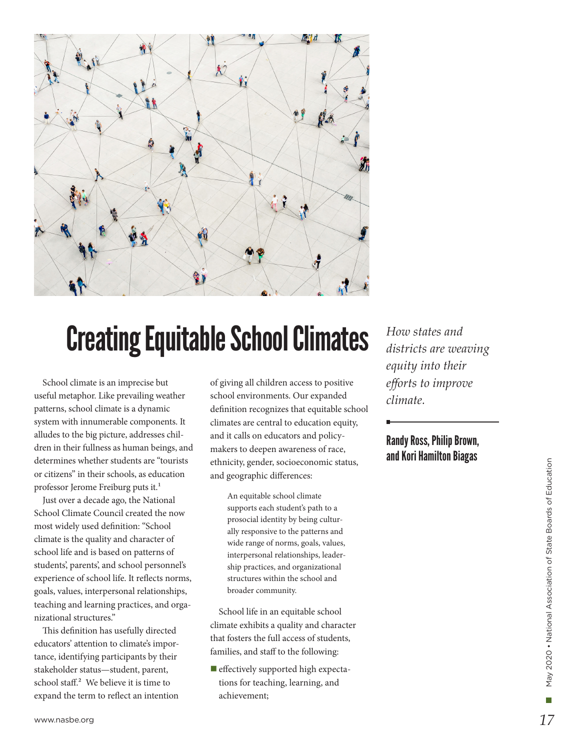

# Creating Equitable School Climates

School climate is an imprecise but useful metaphor. Like prevailing weather patterns, school climate is a dynamic system with innumerable components. It alludes to the big picture, addresses children in their fullness as human beings, and determines whether students are "tourists or citizens" in their schools, as education professor Jerome Freiburg puts it.<sup>1</sup>

Just over a decade ago, the National School Climate Council created the now most widely used definition: "School climate is the quality and character of school life and is based on patterns of students', parents', and school personnel's experience of school life. It reflects norms, goals, values, interpersonal relationships, teaching and learning practices, and organizational structures."

This definition has usefully directed educators' attention to climate's importance, identifying participants by their stakeholder status—student, parent, school staff.<sup>2</sup> We believe it is time to expand the term to reflect an intention of giving all children access to positive school environments. Our expanded definition recognizes that equitable school climates are central to education equity, and it calls on educators and policymakers to deepen awareness of race, ethnicity, gender, socioeconomic status, and geographic differences:

> An equitable school climate supports each student's path to a prosocial identity by being culturally responsive to the patterns and wide range of norms, goals, values, interpersonal relationships, leadership practices, and organizational structures within the school and broader community.

School life in an equitable school climate exhibits a quality and character that fosters the full access of students, families, and staff to the following:

 $\blacksquare$  effectively supported high expectations for teaching, learning, and achievement;

*How states and districts are weaving equity into their efforts to improve climate.*

#### Randy Ross, Philip Brown, and Kori Hamilton Biagas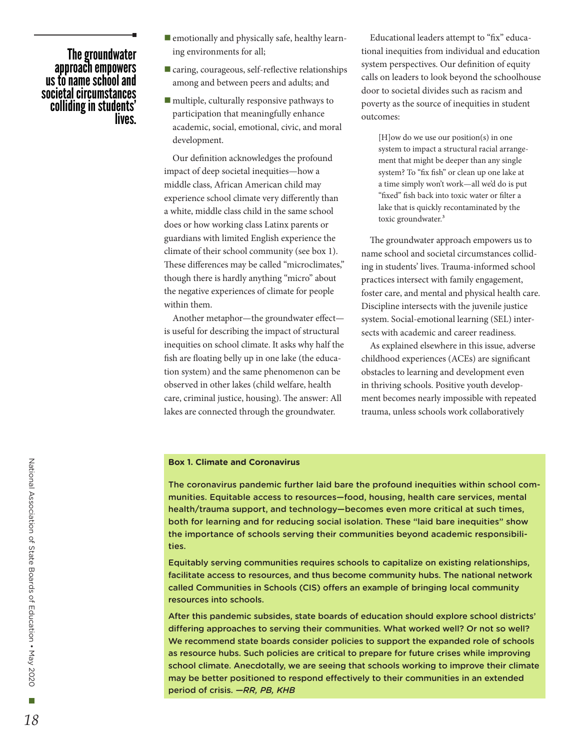## The groundwater approach empowers us to name school and societal circumstances colliding in students'<br>.lives

- $\blacksquare$  emotionally and physically safe, healthy learning environments for all;
- $\blacksquare$  caring, courageous, self-reflective relationships among and between peers and adults; and
- $\blacksquare$  multiple, culturally responsive pathways to participation that meaningfully enhance academic, social, emotional, civic, and moral development.

Our definition acknowledges the profound impact of deep societal inequities—how a middle class, African American child may experience school climate very differently than a white, middle class child in the same school does or how working class Latinx parents or guardians with limited English experience the climate of their school community (see box 1). These differences may be called "microclimates," though there is hardly anything "micro" about the negative experiences of climate for people within them.

Another metaphor—the groundwater effect is useful for describing the impact of structural inequities on school climate. It asks why half the fish are floating belly up in one lake (the education system) and the same phenomenon can be observed in other lakes (child welfare, health care, criminal justice, housing). The answer: All lakes are connected through the groundwater.

Educational leaders attempt to "fix" educational inequities from individual and education system perspectives. Our definition of equity calls on leaders to look beyond the schoolhouse door to societal divides such as racism and poverty as the source of inequities in student outcomes:

[H]ow do we use our position(s) in one system to impact a structural racial arrangement that might be deeper than any single system? To "fix fish" or clean up one lake at a time simply won't work—all we'd do is put "fixed" fish back into toxic water or filter a lake that is quickly recontaminated by the toxic groundwater.<sup>3</sup>

The groundwater approach empowers us to name school and societal circumstances colliding in students' lives. Trauma-informed school practices intersect with family engagement, foster care, and mental and physical health care. Discipline intersects with the juvenile justice system. Social-emotional learning (SEL) intersects with academic and career readiness.

As explained elsewhere in this issue, adverse childhood experiences (ACEs) are significant obstacles to learning and development even in thriving schools. Positive youth development becomes nearly impossible with repeated trauma, unless schools work collaboratively

#### **Box 1. Climate and Coronavirus**

The coronavirus pandemic further laid bare the profound inequities within school communities. Equitable access to resources—food, housing, health care services, mental health/trauma support, and technology—becomes even more critical at such times, both for learning and for reducing social isolation. These "laid bare inequities" show the importance of schools serving their communities beyond academic responsibilities.

Equitably serving communities requires schools to capitalize on existing relationships, facilitate access to resources, and thus become community hubs. The national network called Communities in Schools (CIS) offers an example of bringing local community resources into schools.

After this pandemic subsides, state boards of education should explore school districts' differing approaches to serving their communities. What worked well? Or not so well? We recommend state boards consider policies to support the expanded role of schools as resource hubs. Such policies are critical to prepare for future crises while improving school climate. Anecdotally, we are seeing that schools working to improve their climate may be better positioned to respond effectively to their communities in an extended period of crisis. *—RR, PB, KHB*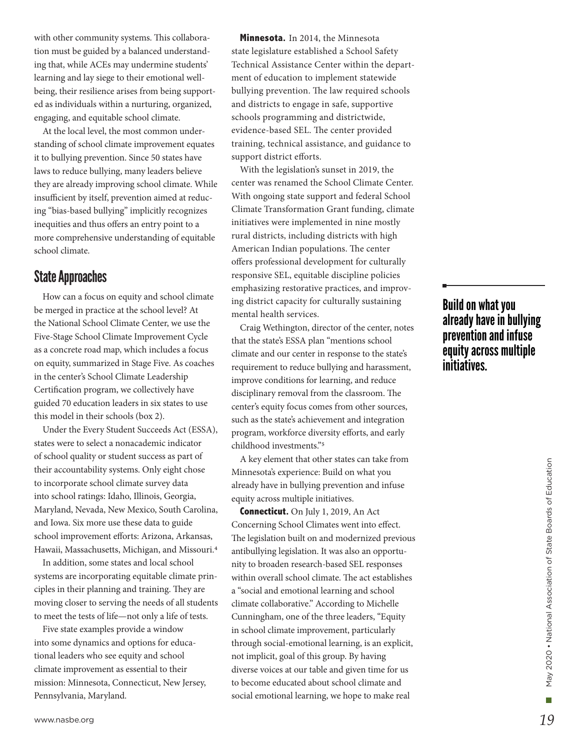with other community systems. This collaboration must be guided by a balanced understanding that, while ACEs may undermine students' learning and lay siege to their emotional wellbeing, their resilience arises from being supported as individuals within a nurturing, organized, engaging, and equitable school climate.

At the local level, the most common understanding of school climate improvement equates it to bullying prevention. Since 50 states have laws to reduce bullying, many leaders believe they are already improving school climate. While insufficient by itself, prevention aimed at reducing "bias-based bullying" implicitly recognizes inequities and thus offers an entry point to a more comprehensive understanding of equitable school climate.

### State Approaches

How can a focus on equity and school climate be merged in practice at the school level? At the National School Climate Center, we use the Five-Stage School Climate Improvement Cycle as a concrete road map, which includes a focus on equity, summarized in Stage Five. As coaches in the center's School Climate Leadership Certification program, we collectively have guided 70 education leaders in six states to use this model in their schools (box 2).

Under the Every Student Succeeds Act (ESSA), states were to select a nonacademic indicator of school quality or student success as part of their accountability systems. Only eight chose to incorporate school climate survey data into school ratings: Idaho, Illinois, Georgia, Maryland, Nevada, New Mexico, South Carolina, and Iowa. Six more use these data to guide school improvement efforts: Arizona, Arkansas, Hawaii, Massachusetts, Michigan, and Missouri.4

In addition, some states and local school systems are incorporating equitable climate principles in their planning and training. They are moving closer to serving the needs of all students to meet the tests of life—not only a life of tests.

Five state examples provide a window into some dynamics and options for educational leaders who see equity and school climate improvement as essential to their mission: Minnesota, Connecticut, New Jersey, Pennsylvania, Maryland.

**Minnesota.** In 2014, the Minnesota state legislature established a School Safety Technical Assistance Center within the department of education to implement statewide bullying prevention. The law required schools and districts to engage in safe, supportive schools programming and districtwide, evidence-based SEL. The center provided training, technical assistance, and guidance to support district efforts.

With the legislation's sunset in 2019, the center was renamed the School Climate Center. With ongoing state support and federal School Climate Transformation Grant funding, climate initiatives were implemented in nine mostly rural districts, including districts with high American Indian populations. The center offers professional development for culturally responsive SEL, equitable discipline policies emphasizing restorative practices, and improving district capacity for culturally sustaining mental health services.

Craig Wethington, director of the center, notes that the state's ESSA plan "mentions school climate and our center in response to the state's requirement to reduce bullying and harassment, improve conditions for learning, and reduce disciplinary removal from the classroom. The center's equity focus comes from other sources, such as the state's achievement and integration program, workforce diversity efforts, and early childhood investments."5

A key element that other states can take from Minnesota's experience: Build on what you already have in bullying prevention and infuse equity across multiple initiatives.

**Connecticut.** On July 1, 2019, An Act Concerning School Climates went into effect. The legislation built on and modernized previous antibullying legislation. It was also an opportunity to broaden research-based SEL responses within overall school climate. The act establishes a "social and emotional learning and school climate collaborative." According to Michelle Cunningham, one of the three leaders, "Equity in school climate improvement, particularly through social-emotional learning, is an explicit, not implicit, goal of this group. By having diverse voices at our table and given time for us to become educated about school climate and social emotional learning, we hope to make real

# Build on what you already have in bullying prevention and infuse equity across multiple initiatives.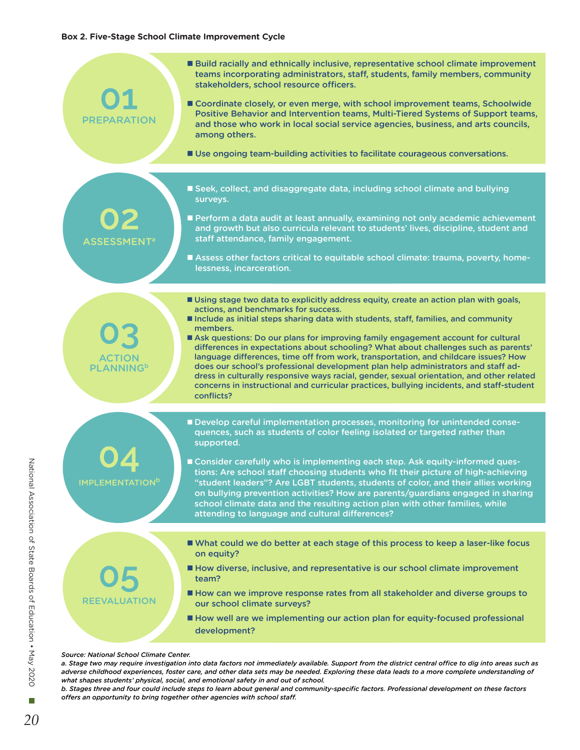| PREPARATION                                   | <b>Build racially and ethnically inclusive, representative school climate improvement</b><br>teams incorporating administrators, staff, students, family members, community<br>stakeholders, school resource officers.<br>■ Coordinate closely, or even merge, with school improvement teams, Schoolwide<br>Positive Behavior and Intervention teams, Multi-Tiered Systems of Support teams,<br>and those who work in local social service agencies, business, and arts councils,<br>among others.<br>■ Use ongoing team-building activities to facilitate courageous conversations.                                                                                                                                                                                                           |
|-----------------------------------------------|------------------------------------------------------------------------------------------------------------------------------------------------------------------------------------------------------------------------------------------------------------------------------------------------------------------------------------------------------------------------------------------------------------------------------------------------------------------------------------------------------------------------------------------------------------------------------------------------------------------------------------------------------------------------------------------------------------------------------------------------------------------------------------------------|
|                                               |                                                                                                                                                                                                                                                                                                                                                                                                                                                                                                                                                                                                                                                                                                                                                                                                |
| <b>ASSESSMENT<sup>a</sup></b>                 | ■ Seek, collect, and disaggregate data, including school climate and bullying<br>surveys.                                                                                                                                                                                                                                                                                                                                                                                                                                                                                                                                                                                                                                                                                                      |
|                                               | Perform a data audit at least annually, examining not only academic achievement<br>and growth but also curricula relevant to students' lives, discipline, student and<br>staff attendance, family engagement.                                                                                                                                                                                                                                                                                                                                                                                                                                                                                                                                                                                  |
|                                               | Assess other factors critical to equitable school climate: trauma, poverty, home-<br>lessness, incarceration.                                                                                                                                                                                                                                                                                                                                                                                                                                                                                                                                                                                                                                                                                  |
|                                               |                                                                                                                                                                                                                                                                                                                                                                                                                                                                                                                                                                                                                                                                                                                                                                                                |
| <b>ACTION</b><br><b>PLANNING</b> <sup>b</sup> | Using stage two data to explicitly address equity, create an action plan with goals,<br>actions, and benchmarks for success.<br>Include as initial steps sharing data with students, staff, families, and community<br>members.<br>Ask questions: Do our plans for improving family engagement account for cultural<br>differences in expectations about schooling? What about challenges such as parents'<br>language differences, time off from work, transportation, and childcare issues? How<br>does our school's professional development plan help administrators and staff ad-<br>dress in culturally responsive ways racial, gender, sexual orientation, and other related<br>concerns in instructional and curricular practices, bullying incidents, and staff-student<br>conflicts? |
|                                               |                                                                                                                                                                                                                                                                                                                                                                                                                                                                                                                                                                                                                                                                                                                                                                                                |
| <b>IMPLEMENTATION</b> <sup>b</sup>            | Develop careful implementation processes, monitoring for unintended conse-<br>quences, such as students of color feeling isolated or targeted rather than<br>supported.<br>■ Consider carefully who is implementing each step. Ask equity-informed ques-<br>tions: Are school staff choosing students who fit their picture of high-achieving<br>"student leaders"? Are LGBT students, students of color, and their allies working<br>on bullying prevention activities? How are parents/guardians engaged in sharing<br>school climate data and the resulting action plan with other families, while<br>attending to language and cultural differences?                                                                                                                                       |
|                                               | ■ What could we do better at each stage of this process to keep a laser-like focus                                                                                                                                                                                                                                                                                                                                                                                                                                                                                                                                                                                                                                                                                                             |
| <b>REEVALUATION</b>                           | on equity?                                                                                                                                                                                                                                                                                                                                                                                                                                                                                                                                                                                                                                                                                                                                                                                     |
|                                               | How diverse, inclusive, and representative is our school climate improvement<br>team?                                                                                                                                                                                                                                                                                                                                                                                                                                                                                                                                                                                                                                                                                                          |
|                                               | How can we improve response rates from all stakeholder and diverse groups to<br>our school climate surveys?                                                                                                                                                                                                                                                                                                                                                                                                                                                                                                                                                                                                                                                                                    |
|                                               | How well are we implementing our action plan for equity-focused professional<br>development?                                                                                                                                                                                                                                                                                                                                                                                                                                                                                                                                                                                                                                                                                                   |
| Source: National School Climate Center.       |                                                                                                                                                                                                                                                                                                                                                                                                                                                                                                                                                                                                                                                                                                                                                                                                |

*a. Stage two may require investigation into data factors not immediately available. Support from the district central office to dig into areas such as adverse childhood experiences, foster care, and other data sets may be needed. Exploring these data leads to a more complete understanding of what shapes students' physical, social, and emotional safety in and out of school.* 

*b. Stages three and four could include steps to learn about general and community-specific factors. Professional development on these factors offers an opportunity to bring together other agencies with school staff.*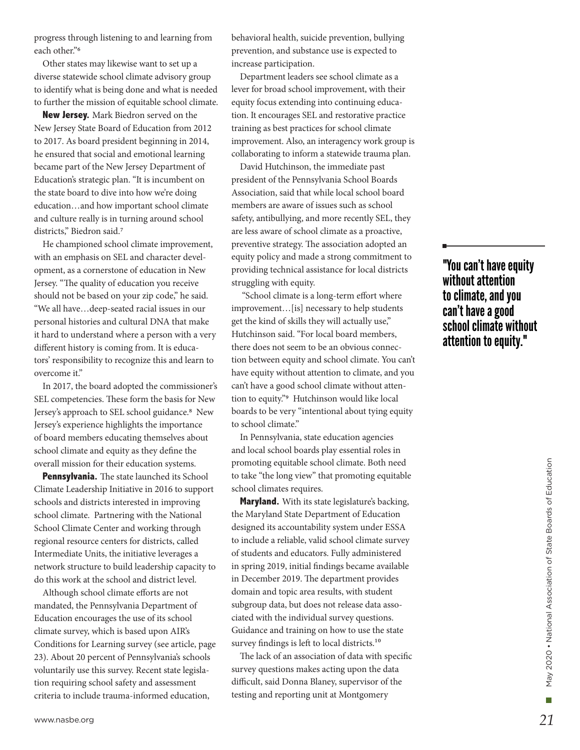progress through listening to and learning from each other."6

Other states may likewise want to set up a diverse statewide school climate advisory group to identify what is being done and what is needed to further the mission of equitable school climate.

**New Jersey.** Mark Biedron served on the New Jersey State Board of Education from 2012 to 2017. As board president beginning in 2014, he ensured that social and emotional learning became part of the New Jersey Department of Education's strategic plan. "It is incumbent on the state board to dive into how we're doing education…and how important school climate and culture really is in turning around school districts," Biedron said.7

He championed school climate improvement, with an emphasis on SEL and character development, as a cornerstone of education in New Jersey. "The quality of education you receive should not be based on your zip code," he said. "We all have…deep-seated racial issues in our personal histories and cultural DNA that make it hard to understand where a person with a very different history is coming from. It is educators' responsibility to recognize this and learn to overcome it."

In 2017, the board adopted the commissioner's SEL competencies. These form the basis for New Jersey's approach to SEL school guidance.8 New Jersey's experience highlights the importance of board members educating themselves about school climate and equity as they define the overall mission for their education systems.

**Pennsylvania.** The state launched its School Climate Leadership Initiative in 2016 to support schools and districts interested in improving school climate. Partnering with the National School Climate Center and working through regional resource centers for districts, called Intermediate Units, the initiative leverages a network structure to build leadership capacity to do this work at the school and district level.

Although school climate efforts are not mandated, the Pennsylvania Department of Education encourages the use of its school climate survey, which is based upon AIR's Conditions for Learning survey (see article, page 23). About 20 percent of Pennsylvania's schools voluntarily use this survey. Recent state legislation requiring school safety and assessment criteria to include trauma-informed education,

behavioral health, suicide prevention, bullying prevention, and substance use is expected to increase participation.

Department leaders see school climate as a lever for broad school improvement, with their equity focus extending into continuing education. It encourages SEL and restorative practice training as best practices for school climate improvement. Also, an interagency work group is collaborating to inform a statewide trauma plan.

David Hutchinson, the immediate past president of the Pennsylvania School Boards Association, said that while local school board members are aware of issues such as school safety, antibullying, and more recently SEL, they are less aware of school climate as a proactive, preventive strategy. The association adopted an equity policy and made a strong commitment to providing technical assistance for local districts struggling with equity.

 "School climate is a long-term effort where improvement…[is] necessary to help students get the kind of skills they will actually use," Hutchinson said. "For local board members, there does not seem to be an obvious connection between equity and school climate. You can't have equity without attention to climate, and you can't have a good school climate without attention to equity."9 Hutchinson would like local boards to be very "intentional about tying equity to school climate."

In Pennsylvania, state education agencies and local school boards play essential roles in promoting equitable school climate. Both need to take "the long view" that promoting equitable school climates requires.

**Maryland.** With its state legislature's backing, the Maryland State Department of Education designed its accountability system under ESSA to include a reliable, valid school climate survey of students and educators. Fully administered in spring 2019, initial findings became available in December 2019. The department provides domain and topic area results, with student subgroup data, but does not release data associated with the individual survey questions. Guidance and training on how to use the state survey findings is left to local districts.<sup>10</sup>

The lack of an association of data with specific survey questions makes acting upon the data difficult, said Donna Blaney, supervisor of the testing and reporting unit at Montgomery

### "You can't have equity without attention to climate, and you can't have a good school climate without attention to equity."